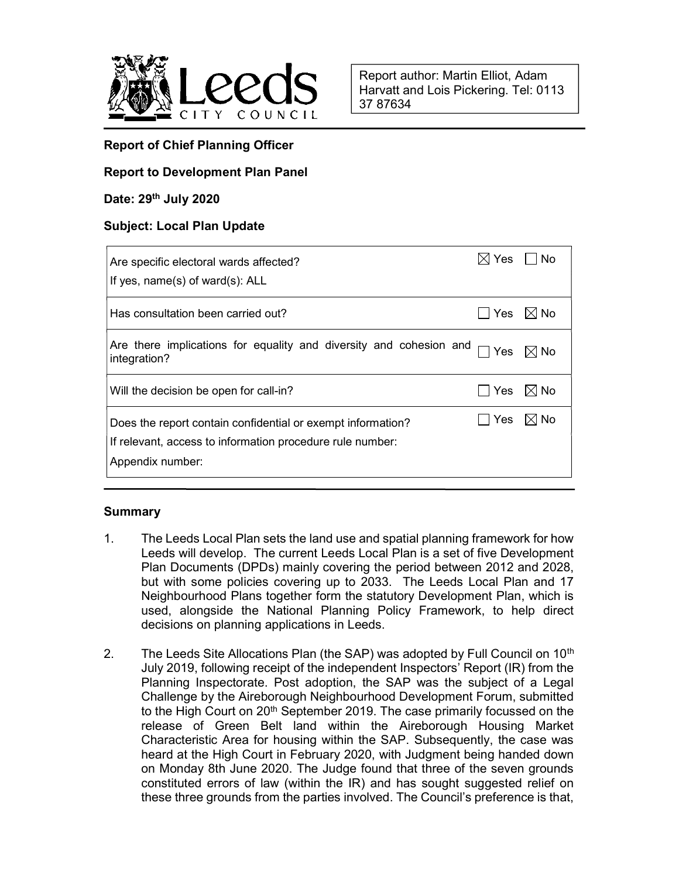

## Report of Chief Planning Officer

## Report to Development Plan Panel

### Date: 29th July 2020

## Subject: Local Plan Update

| Are specific electoral wards affected?<br>If yes, name(s) of ward(s): ALL                                                                    | Yes | No                 |
|----------------------------------------------------------------------------------------------------------------------------------------------|-----|--------------------|
| Has consultation been carried out?                                                                                                           |     | Yes $\boxtimes$ No |
| Are there implications for equality and diversity and cohesion and<br>integration?                                                           | Yes | $\boxtimes$ No     |
| Will the decision be open for call-in?                                                                                                       | Yes | $\boxtimes$ No     |
| Does the report contain confidential or exempt information?<br>If relevant, access to information procedure rule number:<br>Appendix number: | Yes | $\boxtimes$ No     |

## Summary

- 1. The Leeds Local Plan sets the land use and spatial planning framework for how Leeds will develop. The current Leeds Local Plan is a set of five Development Plan Documents (DPDs) mainly covering the period between 2012 and 2028, but with some policies covering up to 2033. The Leeds Local Plan and 17 Neighbourhood Plans together form the statutory Development Plan, which is used, alongside the National Planning Policy Framework, to help direct decisions on planning applications in Leeds.
- 2. The Leeds Site Allocations Plan (the SAP) was adopted by Full Council on  $10<sup>th</sup>$ July 2019, following receipt of the independent Inspectors' Report (IR) from the Planning Inspectorate. Post adoption, the SAP was the subject of a Legal Challenge by the Aireborough Neighbourhood Development Forum, submitted to the High Court on 20<sup>th</sup> September 2019. The case primarily focussed on the release of Green Belt land within the Aireborough Housing Market Characteristic Area for housing within the SAP. Subsequently, the case was heard at the High Court in February 2020, with Judgment being handed down on Monday 8th June 2020. The Judge found that three of the seven grounds constituted errors of law (within the IR) and has sought suggested relief on these three grounds from the parties involved. The Council's preference is that,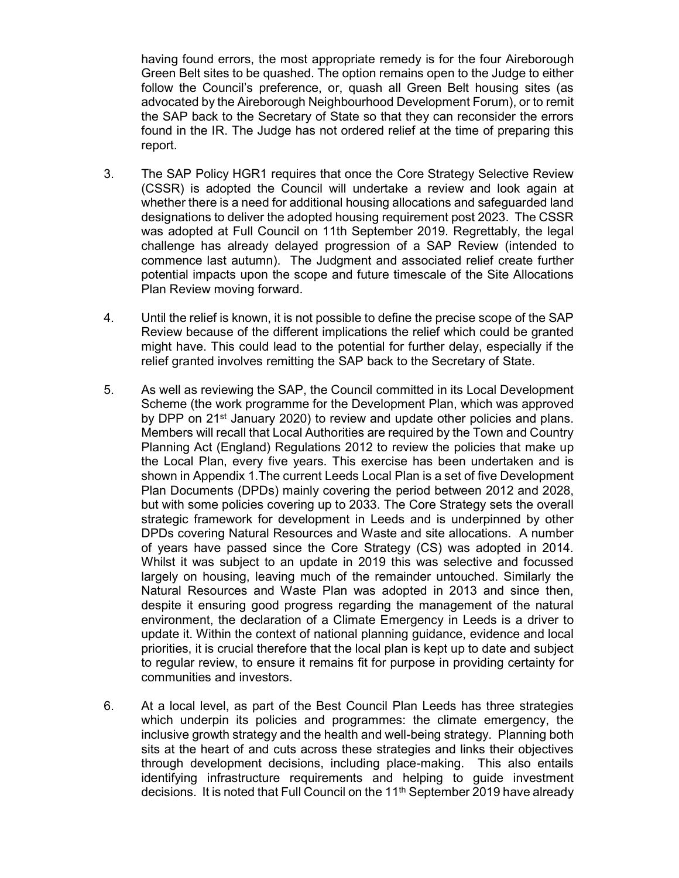having found errors, the most appropriate remedy is for the four Aireborough Green Belt sites to be quashed. The option remains open to the Judge to either follow the Council's preference, or, quash all Green Belt housing sites (as advocated by the Aireborough Neighbourhood Development Forum), or to remit the SAP back to the Secretary of State so that they can reconsider the errors found in the IR. The Judge has not ordered relief at the time of preparing this report.

- 3. The SAP Policy HGR1 requires that once the Core Strategy Selective Review (CSSR) is adopted the Council will undertake a review and look again at whether there is a need for additional housing allocations and safeguarded land designations to deliver the adopted housing requirement post 2023. The CSSR was adopted at Full Council on 11th September 2019. Regrettably, the legal challenge has already delayed progression of a SAP Review (intended to commence last autumn). The Judgment and associated relief create further potential impacts upon the scope and future timescale of the Site Allocations Plan Review moving forward.
- 4. Until the relief is known, it is not possible to define the precise scope of the SAP Review because of the different implications the relief which could be granted might have. This could lead to the potential for further delay, especially if the relief granted involves remitting the SAP back to the Secretary of State.
- 5. As well as reviewing the SAP, the Council committed in its Local Development Scheme (the work programme for the Development Plan, which was approved by DPP on 21<sup>st</sup> January 2020) to review and update other policies and plans. Members will recall that Local Authorities are required by the Town and Country Planning Act (England) Regulations 2012 to review the policies that make up the Local Plan, every five years. This exercise has been undertaken and is shown in Appendix 1.The current Leeds Local Plan is a set of five Development Plan Documents (DPDs) mainly covering the period between 2012 and 2028, but with some policies covering up to 2033. The Core Strategy sets the overall strategic framework for development in Leeds and is underpinned by other DPDs covering Natural Resources and Waste and site allocations. A number of years have passed since the Core Strategy (CS) was adopted in 2014. Whilst it was subject to an update in 2019 this was selective and focussed largely on housing, leaving much of the remainder untouched. Similarly the Natural Resources and Waste Plan was adopted in 2013 and since then, despite it ensuring good progress regarding the management of the natural environment, the declaration of a Climate Emergency in Leeds is a driver to update it. Within the context of national planning guidance, evidence and local priorities, it is crucial therefore that the local plan is kept up to date and subject to regular review, to ensure it remains fit for purpose in providing certainty for communities and investors.
- 6. At a local level, as part of the Best Council Plan Leeds has three strategies which underpin its policies and programmes: the climate emergency, the inclusive growth strategy and the health and well-being strategy. Planning both sits at the heart of and cuts across these strategies and links their objectives through development decisions, including place-making. This also entails identifying infrastructure requirements and helping to guide investment decisions. It is noted that Full Council on the 11<sup>th</sup> September 2019 have already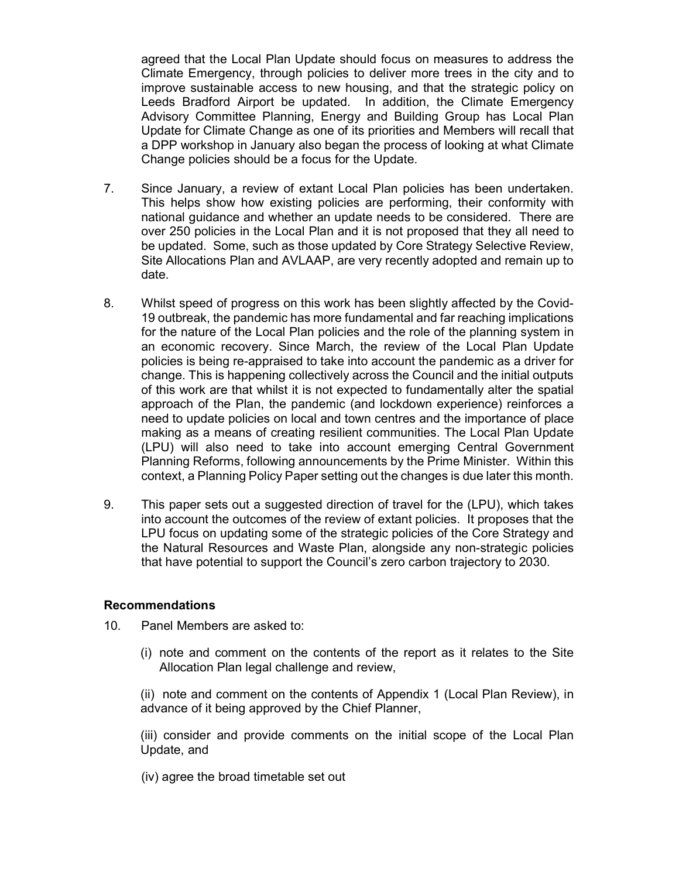agreed that the Local Plan Update should focus on measures to address the Climate Emergency, through policies to deliver more trees in the city and to improve sustainable access to new housing, and that the strategic policy on Leeds Bradford Airport be updated. In addition, the Climate Emergency Advisory Committee Planning, Energy and Building Group has Local Plan Update for Climate Change as one of its priorities and Members will recall that a DPP workshop in January also began the process of looking at what Climate Change policies should be a focus for the Update.

- 7. Since January, a review of extant Local Plan policies has been undertaken. This helps show how existing policies are performing, their conformity with national guidance and whether an update needs to be considered. There are over 250 policies in the Local Plan and it is not proposed that they all need to be updated. Some, such as those updated by Core Strategy Selective Review, Site Allocations Plan and AVLAAP, are very recently adopted and remain up to date.
- 8. Whilst speed of progress on this work has been slightly affected by the Covid-19 outbreak, the pandemic has more fundamental and far reaching implications for the nature of the Local Plan policies and the role of the planning system in an economic recovery. Since March, the review of the Local Plan Update policies is being re-appraised to take into account the pandemic as a driver for change. This is happening collectively across the Council and the initial outputs of this work are that whilst it is not expected to fundamentally alter the spatial approach of the Plan, the pandemic (and lockdown experience) reinforces a need to update policies on local and town centres and the importance of place making as a means of creating resilient communities. The Local Plan Update (LPU) will also need to take into account emerging Central Government Planning Reforms, following announcements by the Prime Minister. Within this context, a Planning Policy Paper setting out the changes is due later this month.
- 9. This paper sets out a suggested direction of travel for the (LPU), which takes into account the outcomes of the review of extant policies. It proposes that the LPU focus on updating some of the strategic policies of the Core Strategy and the Natural Resources and Waste Plan, alongside any non-strategic policies that have potential to support the Council's zero carbon trajectory to 2030.

#### Recommendations

- 10. Panel Members are asked to:
	- (i) note and comment on the contents of the report as it relates to the Site Allocation Plan legal challenge and review,

(ii) note and comment on the contents of Appendix 1 (Local Plan Review), in advance of it being approved by the Chief Planner,

(iii) consider and provide comments on the initial scope of the Local Plan Update, and

(iv) agree the broad timetable set out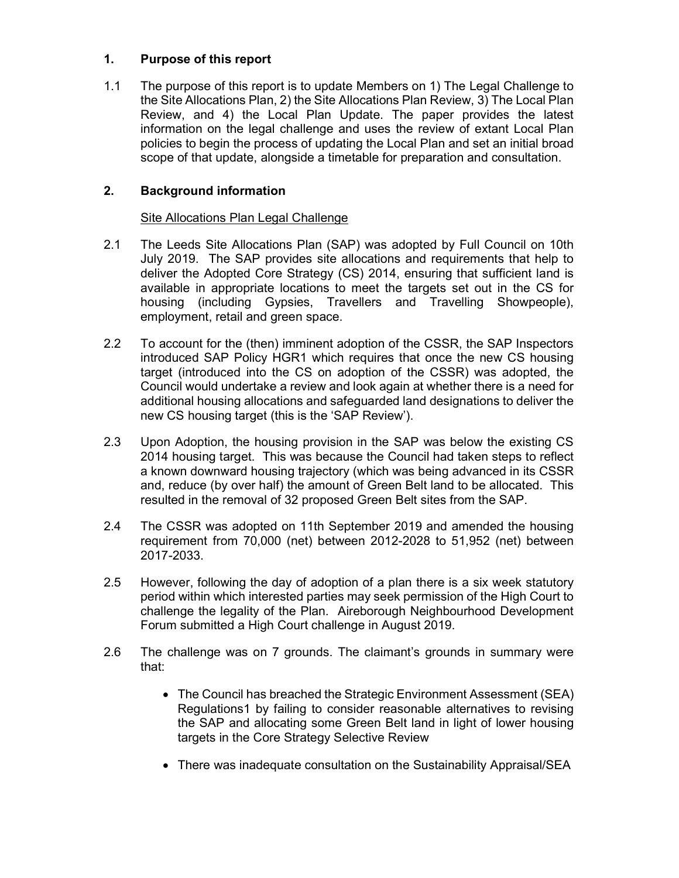# 1. Purpose of this report

1.1 The purpose of this report is to update Members on 1) The Legal Challenge to the Site Allocations Plan, 2) the Site Allocations Plan Review, 3) The Local Plan Review, and 4) the Local Plan Update. The paper provides the latest information on the legal challenge and uses the review of extant Local Plan policies to begin the process of updating the Local Plan and set an initial broad scope of that update, alongside a timetable for preparation and consultation.

# 2. Background information

## Site Allocations Plan Legal Challenge

- 2.1 The Leeds Site Allocations Plan (SAP) was adopted by Full Council on 10th July 2019. The SAP provides site allocations and requirements that help to deliver the Adopted Core Strategy (CS) 2014, ensuring that sufficient land is available in appropriate locations to meet the targets set out in the CS for housing (including Gypsies, Travellers and Travelling Showpeople), employment, retail and green space.
- 2.2 To account for the (then) imminent adoption of the CSSR, the SAP Inspectors introduced SAP Policy HGR1 which requires that once the new CS housing target (introduced into the CS on adoption of the CSSR) was adopted, the Council would undertake a review and look again at whether there is a need for additional housing allocations and safeguarded land designations to deliver the new CS housing target (this is the 'SAP Review').
- 2.3 Upon Adoption, the housing provision in the SAP was below the existing CS 2014 housing target. This was because the Council had taken steps to reflect a known downward housing trajectory (which was being advanced in its CSSR and, reduce (by over half) the amount of Green Belt land to be allocated. This resulted in the removal of 32 proposed Green Belt sites from the SAP.
- 2.4 The CSSR was adopted on 11th September 2019 and amended the housing requirement from 70,000 (net) between 2012-2028 to 51,952 (net) between 2017-2033.
- 2.5 However, following the day of adoption of a plan there is a six week statutory period within which interested parties may seek permission of the High Court to challenge the legality of the Plan. Aireborough Neighbourhood Development Forum submitted a High Court challenge in August 2019.
- 2.6 The challenge was on 7 grounds. The claimant's grounds in summary were that:
	- The Council has breached the Strategic Environment Assessment (SEA) Regulations1 by failing to consider reasonable alternatives to revising the SAP and allocating some Green Belt land in light of lower housing targets in the Core Strategy Selective Review
	- There was inadequate consultation on the Sustainability Appraisal/SEA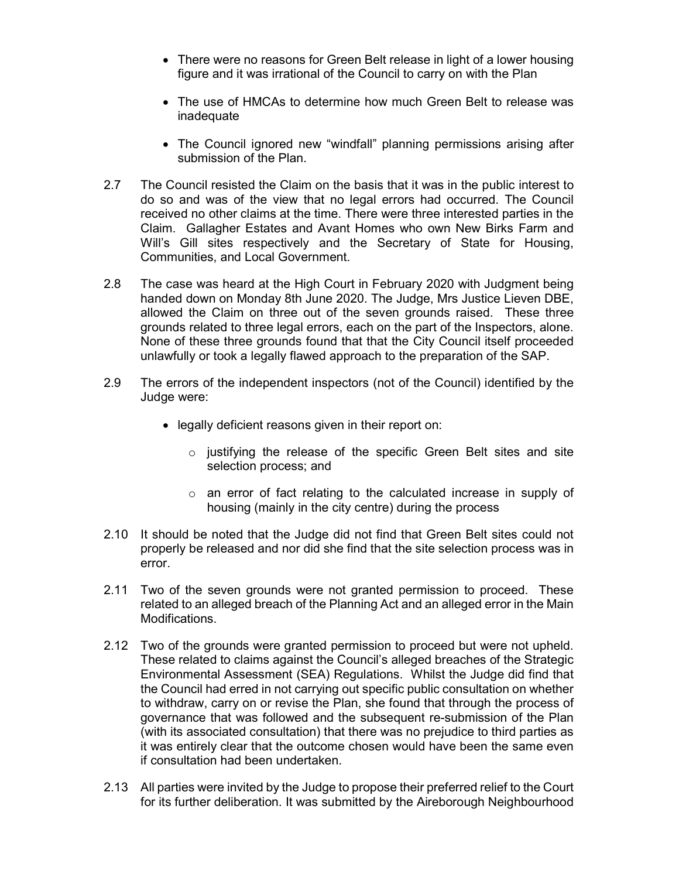- There were no reasons for Green Belt release in light of a lower housing figure and it was irrational of the Council to carry on with the Plan
- The use of HMCAs to determine how much Green Belt to release was inadequate
- The Council ignored new "windfall" planning permissions arising after submission of the Plan.
- 2.7 The Council resisted the Claim on the basis that it was in the public interest to do so and was of the view that no legal errors had occurred. The Council received no other claims at the time. There were three interested parties in the Claim. Gallagher Estates and Avant Homes who own New Birks Farm and Will's Gill sites respectively and the Secretary of State for Housing, Communities, and Local Government.
- 2.8 The case was heard at the High Court in February 2020 with Judgment being handed down on Monday 8th June 2020. The Judge, Mrs Justice Lieven DBE, allowed the Claim on three out of the seven grounds raised. These three grounds related to three legal errors, each on the part of the Inspectors, alone. None of these three grounds found that that the City Council itself proceeded unlawfully or took a legally flawed approach to the preparation of the SAP.
- 2.9 The errors of the independent inspectors (not of the Council) identified by the Judge were:
	- legally deficient reasons given in their report on:
		- o justifying the release of the specific Green Belt sites and site selection process; and
		- o an error of fact relating to the calculated increase in supply of housing (mainly in the city centre) during the process
- 2.10 It should be noted that the Judge did not find that Green Belt sites could not properly be released and nor did she find that the site selection process was in error.
- 2.11 Two of the seven grounds were not granted permission to proceed. These related to an alleged breach of the Planning Act and an alleged error in the Main Modifications.
- 2.12 Two of the grounds were granted permission to proceed but were not upheld. These related to claims against the Council's alleged breaches of the Strategic Environmental Assessment (SEA) Regulations. Whilst the Judge did find that the Council had erred in not carrying out specific public consultation on whether to withdraw, carry on or revise the Plan, she found that through the process of governance that was followed and the subsequent re-submission of the Plan (with its associated consultation) that there was no prejudice to third parties as it was entirely clear that the outcome chosen would have been the same even if consultation had been undertaken.
- 2.13 All parties were invited by the Judge to propose their preferred relief to the Court for its further deliberation. It was submitted by the Aireborough Neighbourhood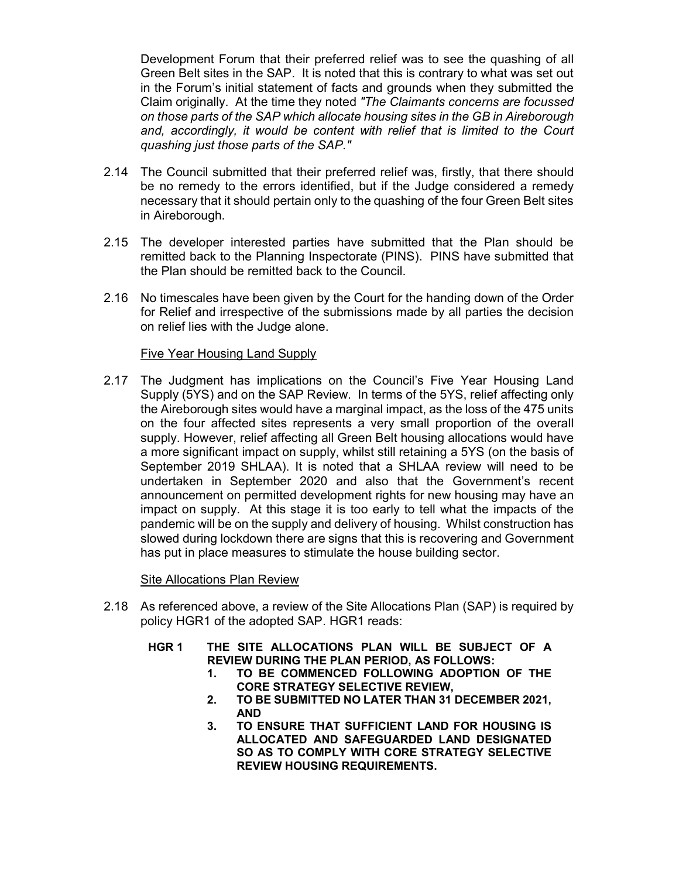Development Forum that their preferred relief was to see the quashing of all Green Belt sites in the SAP. It is noted that this is contrary to what was set out in the Forum's initial statement of facts and grounds when they submitted the Claim originally. At the time they noted "The Claimants concerns are focussed on those parts of the SAP which allocate housing sites in the GB in Aireborough and, accordingly, it would be content with relief that is limited to the Court quashing just those parts of the SAP."

- 2.14 The Council submitted that their preferred relief was, firstly, that there should be no remedy to the errors identified, but if the Judge considered a remedy necessary that it should pertain only to the quashing of the four Green Belt sites in Aireborough.
- 2.15 The developer interested parties have submitted that the Plan should be remitted back to the Planning Inspectorate (PINS). PINS have submitted that the Plan should be remitted back to the Council.
- 2.16 No timescales have been given by the Court for the handing down of the Order for Relief and irrespective of the submissions made by all parties the decision on relief lies with the Judge alone.

#### Five Year Housing Land Supply

2.17 The Judgment has implications on the Council's Five Year Housing Land Supply (5YS) and on the SAP Review. In terms of the 5YS, relief affecting only the Aireborough sites would have a marginal impact, as the loss of the 475 units on the four affected sites represents a very small proportion of the overall supply. However, relief affecting all Green Belt housing allocations would have a more significant impact on supply, whilst still retaining a 5YS (on the basis of September 2019 SHLAA). It is noted that a SHLAA review will need to be undertaken in September 2020 and also that the Government's recent announcement on permitted development rights for new housing may have an impact on supply. At this stage it is too early to tell what the impacts of the pandemic will be on the supply and delivery of housing. Whilst construction has slowed during lockdown there are signs that this is recovering and Government has put in place measures to stimulate the house building sector.

Site Allocations Plan Review

- 2.18 As referenced above, a review of the Site Allocations Plan (SAP) is required by policy HGR1 of the adopted SAP. HGR1 reads:
	- HGR 1 THE SITE ALLOCATIONS PLAN WILL BE SUBJECT OF A REVIEW DURING THE PLAN PERIOD, AS FOLLOWS:
		- 1. TO BE COMMENCED FOLLOWING ADOPTION OF THE CORE STRATEGY SELECTIVE REVIEW,
		- 2. TO BE SUBMITTED NO LATER THAN 31 DECEMBER 2021, AND
		- 3. TO ENSURE THAT SUFFICIENT LAND FOR HOUSING IS ALLOCATED AND SAFEGUARDED LAND DESIGNATED SO AS TO COMPLY WITH CORE STRATEGY SELECTIVE REVIEW HOUSING REQUIREMENTS.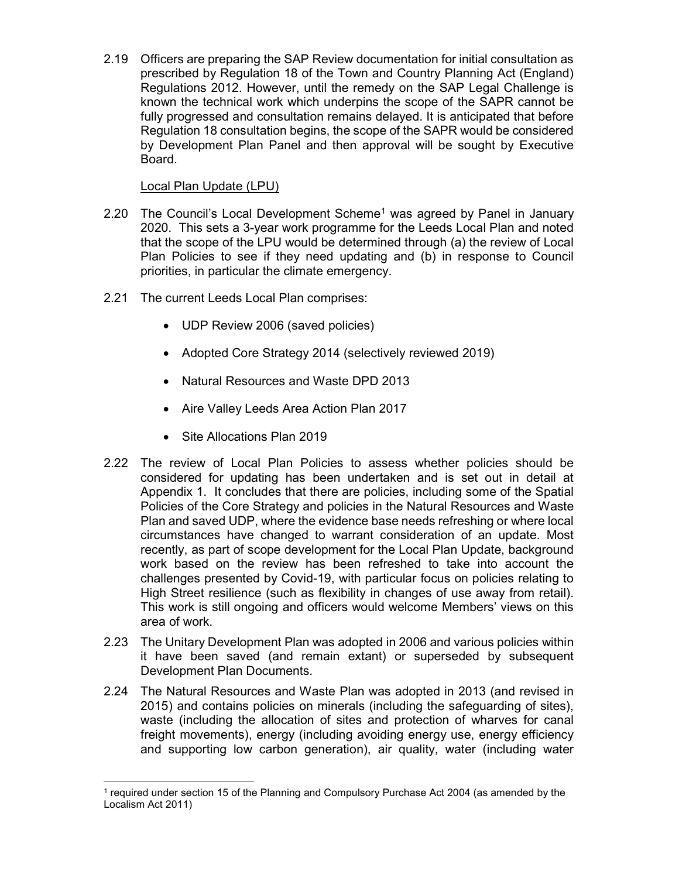2.19 Officers are preparing the SAP Review documentation for initial consultation as prescribed by Regulation 18 of the Town and Country Planning Act (England) Regulations 2012. However, until the remedy on the SAP Legal Challenge is known the technical work which underpins the scope of the SAPR cannot be fully progressed and consultation remains delayed. It is anticipated that before Regulation 18 consultation begins, the scope of the SAPR would be considered by Development Plan Panel and then approval will be sought by Executive Board.

## Local Plan Update (LPU)

- 2.20 The Council's Local Development Scheme<sup>1</sup> was agreed by Panel in January 2020. This sets a 3-year work programme for the Leeds Local Plan and noted that the scope of the LPU would be determined through (a) the review of Local Plan Policies to see if they need updating and (b) in response to Council priorities, in particular the climate emergency.
- 2.21 The current Leeds Local Plan comprises:
	- UDP Review 2006 (saved policies)
	- Adopted Core Strategy 2014 (selectively reviewed 2019)
	- Natural Resources and Waste DPD 2013
	- Aire Valley Leeds Area Action Plan 2017
	- Site Allocations Plan 2019

-

- 2.22 The review of Local Plan Policies to assess whether policies should be considered for updating has been undertaken and is set out in detail at Appendix 1. It concludes that there are policies, including some of the Spatial Policies of the Core Strategy and policies in the Natural Resources and Waste Plan and saved UDP, where the evidence base needs refreshing or where local circumstances have changed to warrant consideration of an update. Most recently, as part of scope development for the Local Plan Update, background work based on the review has been refreshed to take into account the challenges presented by Covid-19, with particular focus on policies relating to High Street resilience (such as flexibility in changes of use away from retail). This work is still ongoing and officers would welcome Members' views on this area of work.
- 2.23 The Unitary Development Plan was adopted in 2006 and various policies within it have been saved (and remain extant) or superseded by subsequent Development Plan Documents.
- 2.24 The Natural Resources and Waste Plan was adopted in 2013 (and revised in 2015) and contains policies on minerals (including the safeguarding of sites), waste (including the allocation of sites and protection of wharves for canal freight movements), energy (including avoiding energy use, energy efficiency and supporting low carbon generation), air quality, water (including water

<sup>&</sup>lt;sup>1</sup> required under section 15 of the Planning and Compulsory Purchase Act 2004 (as amended by the Localism Act 2011)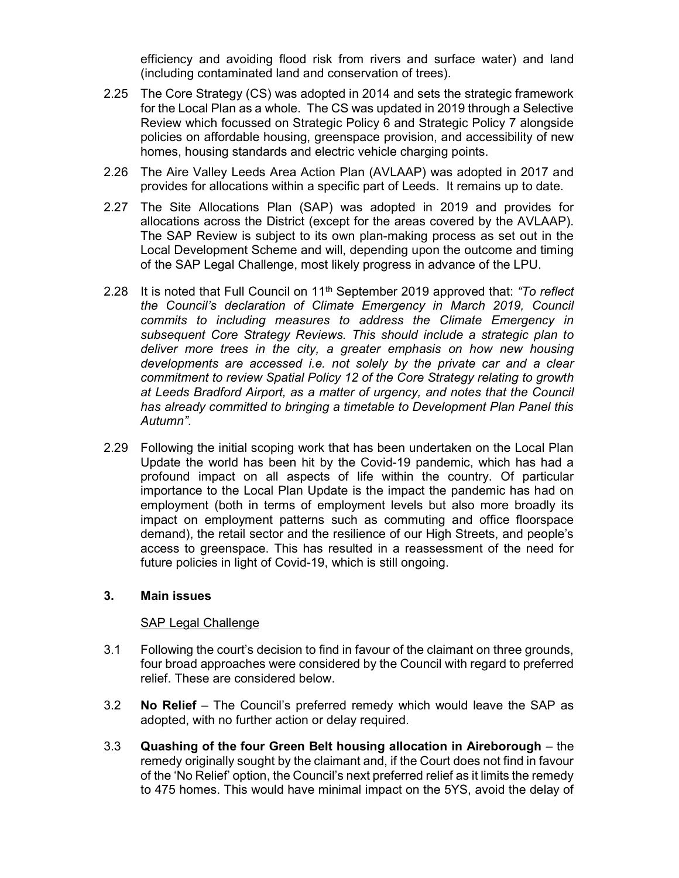efficiency and avoiding flood risk from rivers and surface water) and land (including contaminated land and conservation of trees).

- 2.25 The Core Strategy (CS) was adopted in 2014 and sets the strategic framework for the Local Plan as a whole. The CS was updated in 2019 through a Selective Review which focussed on Strategic Policy 6 and Strategic Policy 7 alongside policies on affordable housing, greenspace provision, and accessibility of new homes, housing standards and electric vehicle charging points.
- 2.26 The Aire Valley Leeds Area Action Plan (AVLAAP) was adopted in 2017 and provides for allocations within a specific part of Leeds. It remains up to date.
- 2.27 The Site Allocations Plan (SAP) was adopted in 2019 and provides for allocations across the District (except for the areas covered by the AVLAAP). The SAP Review is subject to its own plan-making process as set out in the Local Development Scheme and will, depending upon the outcome and timing of the SAP Legal Challenge, most likely progress in advance of the LPU.
- 2.28 It is noted that Full Council on  $11<sup>th</sup>$  September 2019 approved that: "To reflect the Council's declaration of Climate Emergency in March 2019, Council commits to including measures to address the Climate Emergency in subsequent Core Strategy Reviews. This should include a strategic plan to deliver more trees in the city, a greater emphasis on how new housing developments are accessed i.e. not solely by the private car and a clear commitment to review Spatial Policy 12 of the Core Strategy relating to growth at Leeds Bradford Airport, as a matter of urgency, and notes that the Council has already committed to bringing a timetable to Development Plan Panel this Autumn".
- 2.29 Following the initial scoping work that has been undertaken on the Local Plan Update the world has been hit by the Covid-19 pandemic, which has had a profound impact on all aspects of life within the country. Of particular importance to the Local Plan Update is the impact the pandemic has had on employment (both in terms of employment levels but also more broadly its impact on employment patterns such as commuting and office floorspace demand), the retail sector and the resilience of our High Streets, and people's access to greenspace. This has resulted in a reassessment of the need for future policies in light of Covid-19, which is still ongoing.

#### 3. Main issues

## SAP Legal Challenge

- 3.1 Following the court's decision to find in favour of the claimant on three grounds, four broad approaches were considered by the Council with regard to preferred relief. These are considered below.
- 3.2 **No Relief** The Council's preferred remedy which would leave the SAP as adopted, with no further action or delay required.
- 3.3 Quashing of the four Green Belt housing allocation in Aireborough the remedy originally sought by the claimant and, if the Court does not find in favour of the 'No Relief' option, the Council's next preferred relief as it limits the remedy to 475 homes. This would have minimal impact on the 5YS, avoid the delay of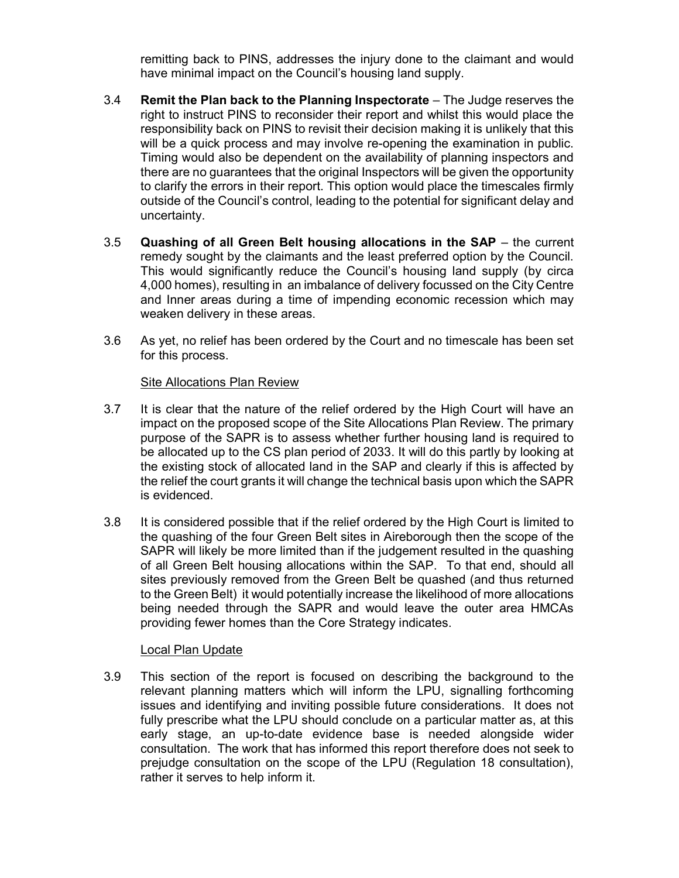remitting back to PINS, addresses the injury done to the claimant and would have minimal impact on the Council's housing land supply.

- 3.4 Remit the Plan back to the Planning Inspectorate The Judge reserves the right to instruct PINS to reconsider their report and whilst this would place the responsibility back on PINS to revisit their decision making it is unlikely that this will be a quick process and may involve re-opening the examination in public. Timing would also be dependent on the availability of planning inspectors and there are no guarantees that the original Inspectors will be given the opportunity to clarify the errors in their report. This option would place the timescales firmly outside of the Council's control, leading to the potential for significant delay and uncertainty.
- 3.5 Quashing of all Green Belt housing allocations in the SAP the current remedy sought by the claimants and the least preferred option by the Council. This would significantly reduce the Council's housing land supply (by circa 4,000 homes), resulting in an imbalance of delivery focussed on the City Centre and Inner areas during a time of impending economic recession which may weaken delivery in these areas.
- 3.6 As yet, no relief has been ordered by the Court and no timescale has been set for this process.

## Site Allocations Plan Review

- 3.7 It is clear that the nature of the relief ordered by the High Court will have an impact on the proposed scope of the Site Allocations Plan Review. The primary purpose of the SAPR is to assess whether further housing land is required to be allocated up to the CS plan period of 2033. It will do this partly by looking at the existing stock of allocated land in the SAP and clearly if this is affected by the relief the court grants it will change the technical basis upon which the SAPR is evidenced.
- 3.8 It is considered possible that if the relief ordered by the High Court is limited to the quashing of the four Green Belt sites in Aireborough then the scope of the SAPR will likely be more limited than if the judgement resulted in the quashing of all Green Belt housing allocations within the SAP. To that end, should all sites previously removed from the Green Belt be quashed (and thus returned to the Green Belt) it would potentially increase the likelihood of more allocations being needed through the SAPR and would leave the outer area HMCAs providing fewer homes than the Core Strategy indicates.

## Local Plan Update

3.9 This section of the report is focused on describing the background to the relevant planning matters which will inform the LPU, signalling forthcoming issues and identifying and inviting possible future considerations. It does not fully prescribe what the LPU should conclude on a particular matter as, at this early stage, an up-to-date evidence base is needed alongside wider consultation. The work that has informed this report therefore does not seek to prejudge consultation on the scope of the LPU (Regulation 18 consultation), rather it serves to help inform it.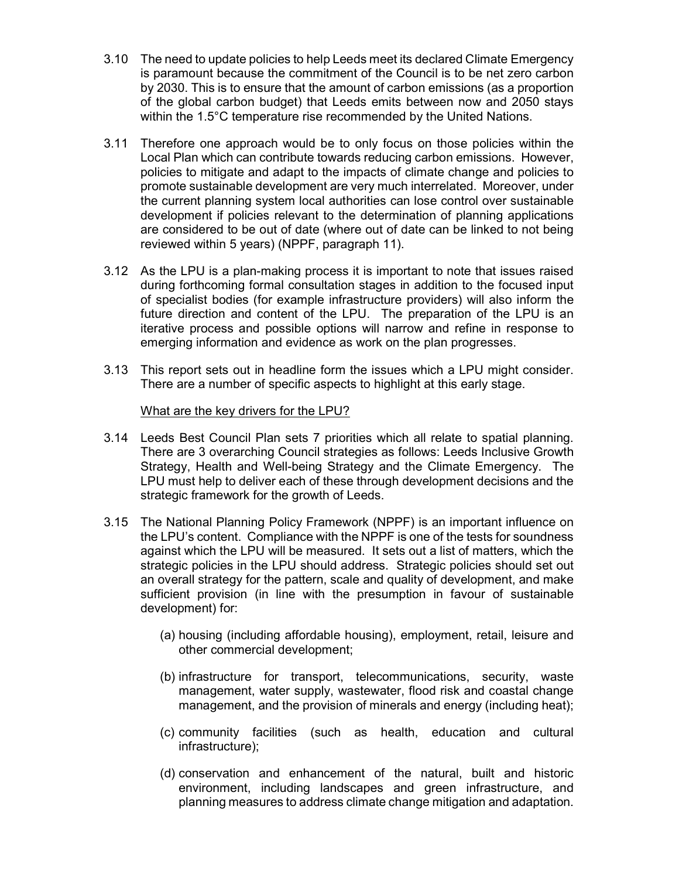- 3.10 The need to update policies to help Leeds meet its declared Climate Emergency is paramount because the commitment of the Council is to be net zero carbon by 2030. This is to ensure that the amount of carbon emissions (as a proportion of the global carbon budget) that Leeds emits between now and 2050 stays within the 1.5°C temperature rise recommended by the United Nations.
- 3.11 Therefore one approach would be to only focus on those policies within the Local Plan which can contribute towards reducing carbon emissions. However, policies to mitigate and adapt to the impacts of climate change and policies to promote sustainable development are very much interrelated. Moreover, under the current planning system local authorities can lose control over sustainable development if policies relevant to the determination of planning applications are considered to be out of date (where out of date can be linked to not being reviewed within 5 years) (NPPF, paragraph 11).
- 3.12 As the LPU is a plan-making process it is important to note that issues raised during forthcoming formal consultation stages in addition to the focused input of specialist bodies (for example infrastructure providers) will also inform the future direction and content of the LPU. The preparation of the LPU is an iterative process and possible options will narrow and refine in response to emerging information and evidence as work on the plan progresses.
- 3.13 This report sets out in headline form the issues which a LPU might consider. There are a number of specific aspects to highlight at this early stage.

#### What are the key drivers for the LPU?

- 3.14 Leeds Best Council Plan sets 7 priorities which all relate to spatial planning. There are 3 overarching Council strategies as follows: Leeds Inclusive Growth Strategy, Health and Well-being Strategy and the Climate Emergency. The LPU must help to deliver each of these through development decisions and the strategic framework for the growth of Leeds.
- 3.15 The National Planning Policy Framework (NPPF) is an important influence on the LPU's content. Compliance with the NPPF is one of the tests for soundness against which the LPU will be measured. It sets out a list of matters, which the strategic policies in the LPU should address. Strategic policies should set out an overall strategy for the pattern, scale and quality of development, and make sufficient provision (in line with the presumption in favour of sustainable development) for:
	- (a) housing (including affordable housing), employment, retail, leisure and other commercial development;
	- (b) infrastructure for transport, telecommunications, security, waste management, water supply, wastewater, flood risk and coastal change management, and the provision of minerals and energy (including heat);
	- (c) community facilities (such as health, education and cultural infrastructure);
	- (d) conservation and enhancement of the natural, built and historic environment, including landscapes and green infrastructure, and planning measures to address climate change mitigation and adaptation.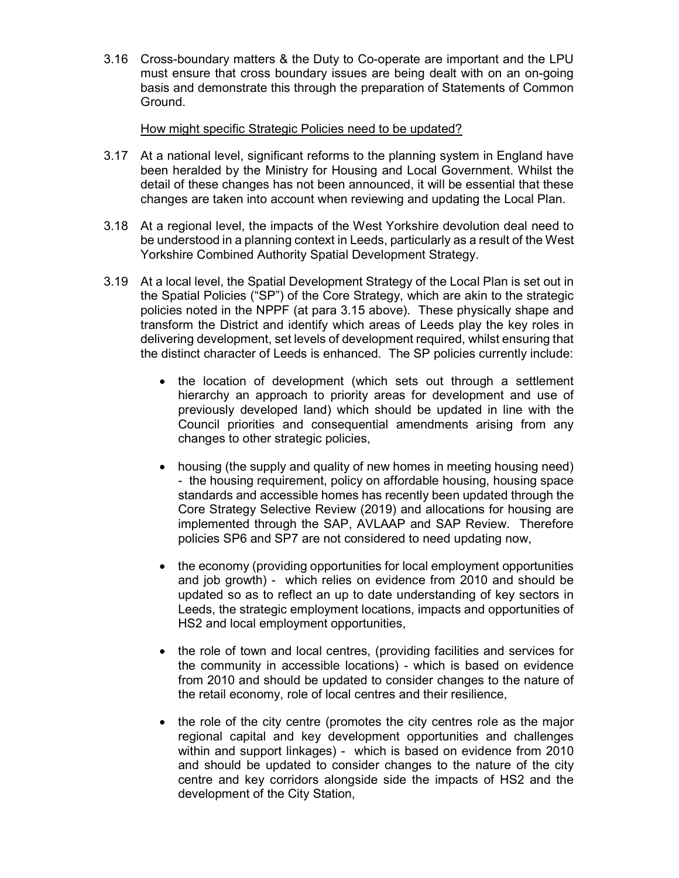3.16 Cross-boundary matters & the Duty to Co-operate are important and the LPU must ensure that cross boundary issues are being dealt with on an on-going basis and demonstrate this through the preparation of Statements of Common Ground.

#### How might specific Strategic Policies need to be updated?

- 3.17 At a national level, significant reforms to the planning system in England have been heralded by the Ministry for Housing and Local Government. Whilst the detail of these changes has not been announced, it will be essential that these changes are taken into account when reviewing and updating the Local Plan.
- 3.18 At a regional level, the impacts of the West Yorkshire devolution deal need to be understood in a planning context in Leeds, particularly as a result of the West Yorkshire Combined Authority Spatial Development Strategy.
- 3.19 At a local level, the Spatial Development Strategy of the Local Plan is set out in the Spatial Policies ("SP") of the Core Strategy, which are akin to the strategic policies noted in the NPPF (at para 3.15 above). These physically shape and transform the District and identify which areas of Leeds play the key roles in delivering development, set levels of development required, whilst ensuring that the distinct character of Leeds is enhanced. The SP policies currently include:
	- the location of development (which sets out through a settlement hierarchy an approach to priority areas for development and use of previously developed land) which should be updated in line with the Council priorities and consequential amendments arising from any changes to other strategic policies,
	- housing (the supply and quality of new homes in meeting housing need) - the housing requirement, policy on affordable housing, housing space standards and accessible homes has recently been updated through the Core Strategy Selective Review (2019) and allocations for housing are implemented through the SAP, AVLAAP and SAP Review. Therefore policies SP6 and SP7 are not considered to need updating now,
	- the economy (providing opportunities for local employment opportunities and job growth) - which relies on evidence from 2010 and should be updated so as to reflect an up to date understanding of key sectors in Leeds, the strategic employment locations, impacts and opportunities of HS2 and local employment opportunities,
	- the role of town and local centres, (providing facilities and services for the community in accessible locations) - which is based on evidence from 2010 and should be updated to consider changes to the nature of the retail economy, role of local centres and their resilience,
	- the role of the city centre (promotes the city centres role as the major regional capital and key development opportunities and challenges within and support linkages) - which is based on evidence from 2010 and should be updated to consider changes to the nature of the city centre and key corridors alongside side the impacts of HS2 and the development of the City Station,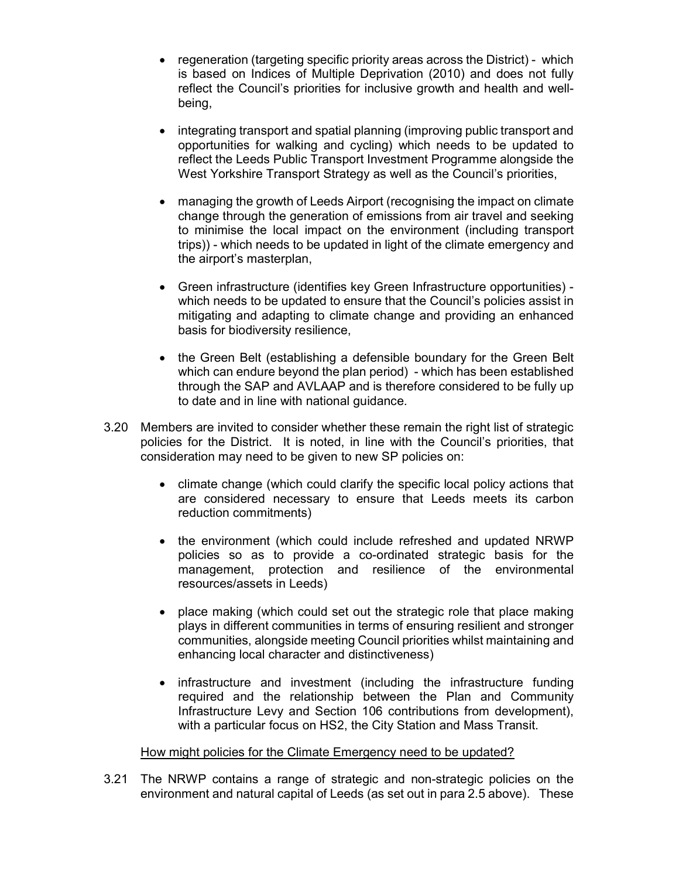- regeneration (targeting specific priority areas across the District) which is based on Indices of Multiple Deprivation (2010) and does not fully reflect the Council's priorities for inclusive growth and health and wellbeing,
- integrating transport and spatial planning (improving public transport and opportunities for walking and cycling) which needs to be updated to reflect the Leeds Public Transport Investment Programme alongside the West Yorkshire Transport Strategy as well as the Council's priorities,
- managing the growth of Leeds Airport (recognising the impact on climate change through the generation of emissions from air travel and seeking to minimise the local impact on the environment (including transport trips)) - which needs to be updated in light of the climate emergency and the airport's masterplan,
- Green infrastructure (identifies key Green Infrastructure opportunities) which needs to be updated to ensure that the Council's policies assist in mitigating and adapting to climate change and providing an enhanced basis for biodiversity resilience,
- the Green Belt (establishing a defensible boundary for the Green Belt which can endure beyond the plan period) - which has been established through the SAP and AVLAAP and is therefore considered to be fully up to date and in line with national guidance.
- 3.20 Members are invited to consider whether these remain the right list of strategic policies for the District. It is noted, in line with the Council's priorities, that consideration may need to be given to new SP policies on:
	- climate change (which could clarify the specific local policy actions that are considered necessary to ensure that Leeds meets its carbon reduction commitments)
	- the environment (which could include refreshed and updated NRWP policies so as to provide a co-ordinated strategic basis for the management, protection and resilience of the environmental resources/assets in Leeds)
	- place making (which could set out the strategic role that place making plays in different communities in terms of ensuring resilient and stronger communities, alongside meeting Council priorities whilst maintaining and enhancing local character and distinctiveness)
	- infrastructure and investment (including the infrastructure funding required and the relationship between the Plan and Community Infrastructure Levy and Section 106 contributions from development), with a particular focus on HS2, the City Station and Mass Transit.

#### How might policies for the Climate Emergency need to be updated?

3.21 The NRWP contains a range of strategic and non-strategic policies on the environment and natural capital of Leeds (as set out in para 2.5 above). These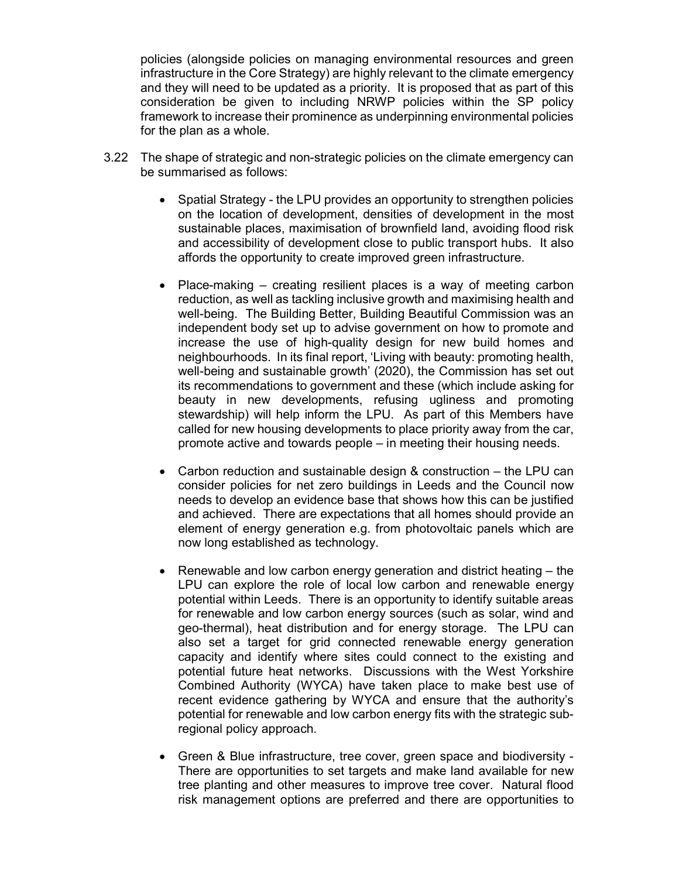policies (alongside policies on managing environmental resources and green infrastructure in the Core Strategy) are highly relevant to the climate emergency and they will need to be updated as a priority. It is proposed that as part of this consideration be given to including NRWP policies within the SP policy framework to increase their prominence as underpinning environmental policies for the plan as a whole.

- 3.22 The shape of strategic and non-strategic policies on the climate emergency can be summarised as follows:
	- Spatial Strategy the LPU provides an opportunity to strengthen policies on the location of development, densities of development in the most sustainable places, maximisation of brownfield land, avoiding flood risk and accessibility of development close to public transport hubs. It also affords the opportunity to create improved green infrastructure.
	- Place-making creating resilient places is a way of meeting carbon reduction, as well as tackling inclusive growth and maximising health and well-being. The Building Better, Building Beautiful Commission was an independent body set up to advise government on how to promote and increase the use of high-quality design for new build homes and neighbourhoods. In its final report, 'Living with beauty: promoting health, well-being and sustainable growth' (2020), the Commission has set out its recommendations to government and these (which include asking for beauty in new developments, refusing ugliness and promoting stewardship) will help inform the LPU. As part of this Members have called for new housing developments to place priority away from the car, promote active and towards people – in meeting their housing needs.
	- Carbon reduction and sustainable design & construction the LPU can consider policies for net zero buildings in Leeds and the Council now needs to develop an evidence base that shows how this can be justified and achieved. There are expectations that all homes should provide an element of energy generation e.g. from photovoltaic panels which are now long established as technology.
	- Renewable and low carbon energy generation and district heating the LPU can explore the role of local low carbon and renewable energy potential within Leeds. There is an opportunity to identify suitable areas for renewable and low carbon energy sources (such as solar, wind and geo-thermal), heat distribution and for energy storage. The LPU can also set a target for grid connected renewable energy generation capacity and identify where sites could connect to the existing and potential future heat networks. Discussions with the West Yorkshire Combined Authority (WYCA) have taken place to make best use of recent evidence gathering by WYCA and ensure that the authority's potential for renewable and low carbon energy fits with the strategic subregional policy approach.
	- Green & Blue infrastructure, tree cover, green space and biodiversity There are opportunities to set targets and make land available for new tree planting and other measures to improve tree cover. Natural flood risk management options are preferred and there are opportunities to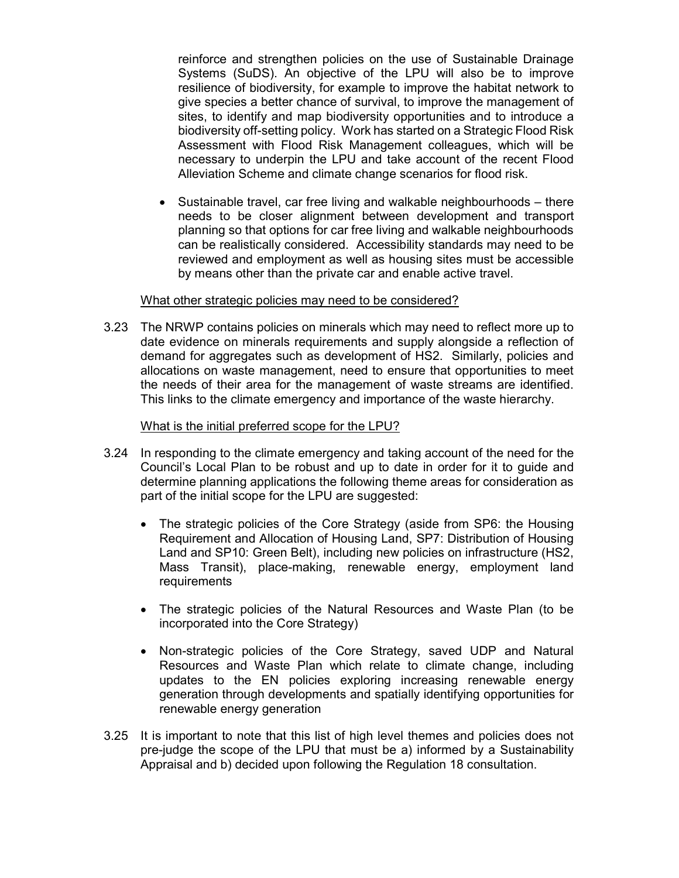reinforce and strengthen policies on the use of Sustainable Drainage Systems (SuDS). An objective of the LPU will also be to improve resilience of biodiversity, for example to improve the habitat network to give species a better chance of survival, to improve the management of sites, to identify and map biodiversity opportunities and to introduce a biodiversity off-setting policy. Work has started on a Strategic Flood Risk Assessment with Flood Risk Management colleagues, which will be necessary to underpin the LPU and take account of the recent Flood Alleviation Scheme and climate change scenarios for flood risk.

 Sustainable travel, car free living and walkable neighbourhoods – there needs to be closer alignment between development and transport planning so that options for car free living and walkable neighbourhoods can be realistically considered. Accessibility standards may need to be reviewed and employment as well as housing sites must be accessible by means other than the private car and enable active travel.

#### What other strategic policies may need to be considered?

3.23 The NRWP contains policies on minerals which may need to reflect more up to date evidence on minerals requirements and supply alongside a reflection of demand for aggregates such as development of HS2. Similarly, policies and allocations on waste management, need to ensure that opportunities to meet the needs of their area for the management of waste streams are identified. This links to the climate emergency and importance of the waste hierarchy.

#### What is the initial preferred scope for the LPU?

- 3.24 In responding to the climate emergency and taking account of the need for the Council's Local Plan to be robust and up to date in order for it to guide and determine planning applications the following theme areas for consideration as part of the initial scope for the LPU are suggested:
	- The strategic policies of the Core Strategy (aside from SP6: the Housing Requirement and Allocation of Housing Land, SP7: Distribution of Housing Land and SP10: Green Belt), including new policies on infrastructure (HS2, Mass Transit), place-making, renewable energy, employment land requirements
	- The strategic policies of the Natural Resources and Waste Plan (to be incorporated into the Core Strategy)
	- Non-strategic policies of the Core Strategy, saved UDP and Natural Resources and Waste Plan which relate to climate change, including updates to the EN policies exploring increasing renewable energy generation through developments and spatially identifying opportunities for renewable energy generation
- 3.25 It is important to note that this list of high level themes and policies does not pre-judge the scope of the LPU that must be a) informed by a Sustainability Appraisal and b) decided upon following the Regulation 18 consultation.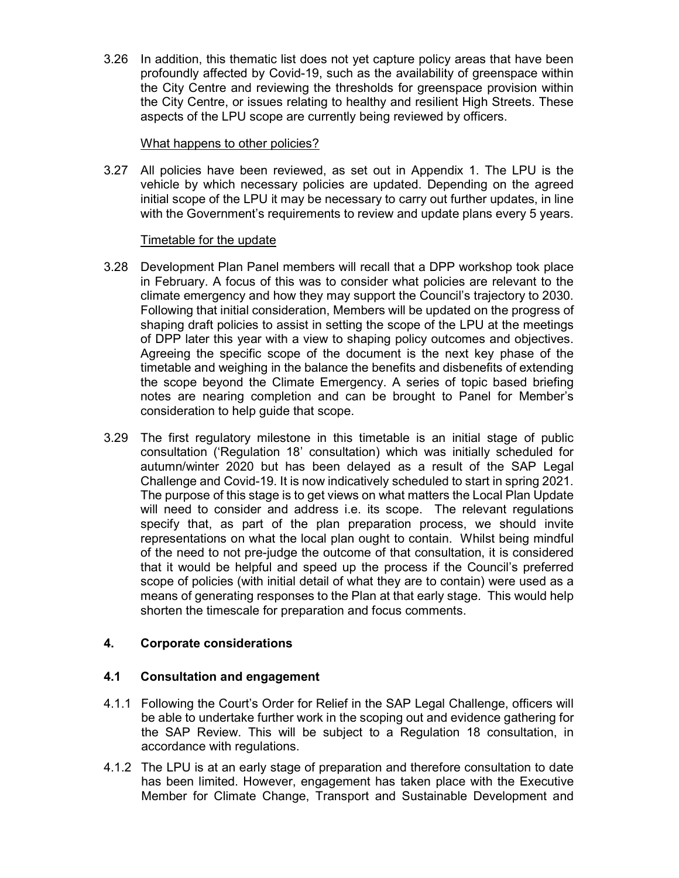3.26 In addition, this thematic list does not yet capture policy areas that have been profoundly affected by Covid-19, such as the availability of greenspace within the City Centre and reviewing the thresholds for greenspace provision within the City Centre, or issues relating to healthy and resilient High Streets. These aspects of the LPU scope are currently being reviewed by officers.

### What happens to other policies?

3.27 All policies have been reviewed, as set out in Appendix 1. The LPU is the vehicle by which necessary policies are updated. Depending on the agreed initial scope of the LPU it may be necessary to carry out further updates, in line with the Government's requirements to review and update plans every 5 years.

## Timetable for the update

- 3.28 Development Plan Panel members will recall that a DPP workshop took place in February. A focus of this was to consider what policies are relevant to the climate emergency and how they may support the Council's trajectory to 2030. Following that initial consideration, Members will be updated on the progress of shaping draft policies to assist in setting the scope of the LPU at the meetings of DPP later this year with a view to shaping policy outcomes and objectives. Agreeing the specific scope of the document is the next key phase of the timetable and weighing in the balance the benefits and disbenefits of extending the scope beyond the Climate Emergency. A series of topic based briefing notes are nearing completion and can be brought to Panel for Member's consideration to help guide that scope.
- 3.29 The first regulatory milestone in this timetable is an initial stage of public consultation ('Regulation 18' consultation) which was initially scheduled for autumn/winter 2020 but has been delayed as a result of the SAP Legal Challenge and Covid-19. It is now indicatively scheduled to start in spring 2021. The purpose of this stage is to get views on what matters the Local Plan Update will need to consider and address i.e. its scope. The relevant regulations specify that, as part of the plan preparation process, we should invite representations on what the local plan ought to contain. Whilst being mindful of the need to not pre-judge the outcome of that consultation, it is considered that it would be helpful and speed up the process if the Council's preferred scope of policies (with initial detail of what they are to contain) were used as a means of generating responses to the Plan at that early stage. This would help shorten the timescale for preparation and focus comments.

# 4. Corporate considerations

## 4.1 Consultation and engagement

- 4.1.1 Following the Court's Order for Relief in the SAP Legal Challenge, officers will be able to undertake further work in the scoping out and evidence gathering for the SAP Review. This will be subject to a Regulation 18 consultation, in accordance with regulations.
- 4.1.2 The LPU is at an early stage of preparation and therefore consultation to date has been limited. However, engagement has taken place with the Executive Member for Climate Change, Transport and Sustainable Development and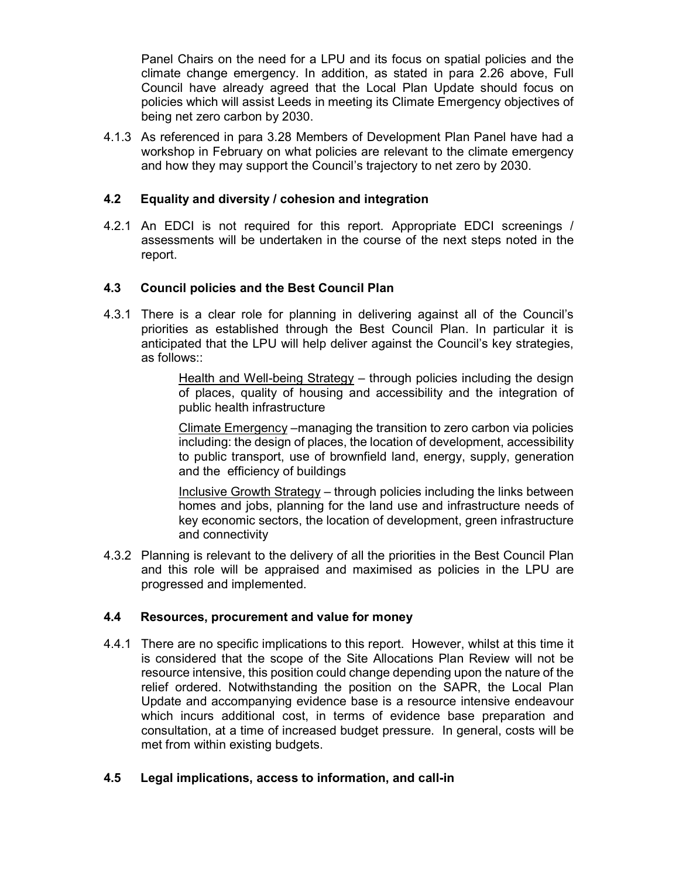Panel Chairs on the need for a LPU and its focus on spatial policies and the climate change emergency. In addition, as stated in para 2.26 above, Full Council have already agreed that the Local Plan Update should focus on policies which will assist Leeds in meeting its Climate Emergency objectives of being net zero carbon by 2030.

4.1.3 As referenced in para 3.28 Members of Development Plan Panel have had a workshop in February on what policies are relevant to the climate emergency and how they may support the Council's trajectory to net zero by 2030.

## 4.2 Equality and diversity / cohesion and integration

4.2.1 An EDCI is not required for this report. Appropriate EDCI screenings / assessments will be undertaken in the course of the next steps noted in the report.

## 4.3 Council policies and the Best Council Plan

4.3.1 There is a clear role for planning in delivering against all of the Council's priorities as established through the Best Council Plan. In particular it is anticipated that the LPU will help deliver against the Council's key strategies, as follows::

> Health and Well-being Strategy – through policies including the design of places, quality of housing and accessibility and the integration of public health infrastructure

> Climate Emergency –managing the transition to zero carbon via policies including: the design of places, the location of development, accessibility to public transport, use of brownfield land, energy, supply, generation and the efficiency of buildings

> Inclusive Growth Strategy – through policies including the links between homes and jobs, planning for the land use and infrastructure needs of key economic sectors, the location of development, green infrastructure and connectivity

4.3.2 Planning is relevant to the delivery of all the priorities in the Best Council Plan and this role will be appraised and maximised as policies in the LPU are progressed and implemented.

## 4.4 Resources, procurement and value for money

4.4.1 There are no specific implications to this report. However, whilst at this time it is considered that the scope of the Site Allocations Plan Review will not be resource intensive, this position could change depending upon the nature of the relief ordered. Notwithstanding the position on the SAPR, the Local Plan Update and accompanying evidence base is a resource intensive endeavour which incurs additional cost, in terms of evidence base preparation and consultation, at a time of increased budget pressure. In general, costs will be met from within existing budgets.

## 4.5 Legal implications, access to information, and call-in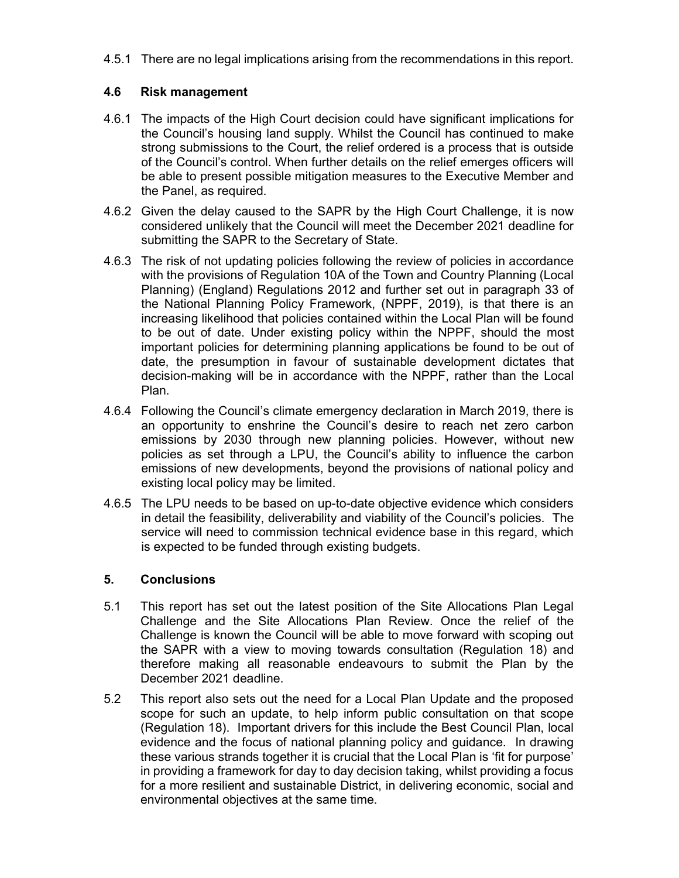4.5.1 There are no legal implications arising from the recommendations in this report.

# 4.6 Risk management

- 4.6.1 The impacts of the High Court decision could have significant implications for the Council's housing land supply. Whilst the Council has continued to make strong submissions to the Court, the relief ordered is a process that is outside of the Council's control. When further details on the relief emerges officers will be able to present possible mitigation measures to the Executive Member and the Panel, as required.
- 4.6.2 Given the delay caused to the SAPR by the High Court Challenge, it is now considered unlikely that the Council will meet the December 2021 deadline for submitting the SAPR to the Secretary of State.
- 4.6.3 The risk of not updating policies following the review of policies in accordance with the provisions of Regulation 10A of the Town and Country Planning (Local Planning) (England) Regulations 2012 and further set out in paragraph 33 of the National Planning Policy Framework, (NPPF, 2019), is that there is an increasing likelihood that policies contained within the Local Plan will be found to be out of date. Under existing policy within the NPPF, should the most important policies for determining planning applications be found to be out of date, the presumption in favour of sustainable development dictates that decision-making will be in accordance with the NPPF, rather than the Local Plan.
- 4.6.4 Following the Council's climate emergency declaration in March 2019, there is an opportunity to enshrine the Council's desire to reach net zero carbon emissions by 2030 through new planning policies. However, without new policies as set through a LPU, the Council's ability to influence the carbon emissions of new developments, beyond the provisions of national policy and existing local policy may be limited.
- 4.6.5 The LPU needs to be based on up-to-date objective evidence which considers in detail the feasibility, deliverability and viability of the Council's policies. The service will need to commission technical evidence base in this regard, which is expected to be funded through existing budgets.

## 5. Conclusions

- 5.1 This report has set out the latest position of the Site Allocations Plan Legal Challenge and the Site Allocations Plan Review. Once the relief of the Challenge is known the Council will be able to move forward with scoping out the SAPR with a view to moving towards consultation (Regulation 18) and therefore making all reasonable endeavours to submit the Plan by the December 2021 deadline.
- 5.2 This report also sets out the need for a Local Plan Update and the proposed scope for such an update, to help inform public consultation on that scope (Regulation 18). Important drivers for this include the Best Council Plan, local evidence and the focus of national planning policy and guidance. In drawing these various strands together it is crucial that the Local Plan is 'fit for purpose' in providing a framework for day to day decision taking, whilst providing a focus for a more resilient and sustainable District, in delivering economic, social and environmental objectives at the same time.